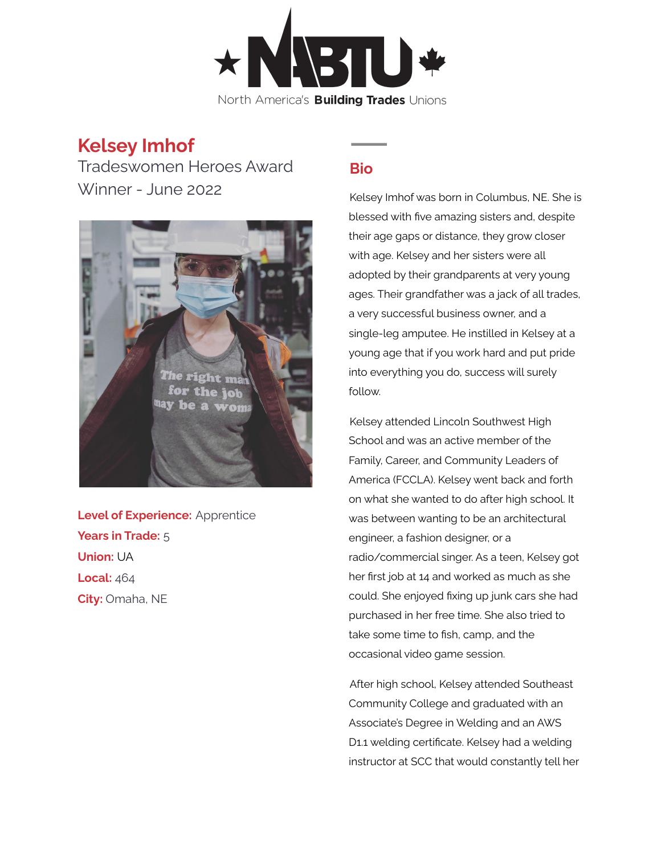

## **Kelsey Imhof**

Tradeswomen Heroes Award Winner - June 2022



**Level of Experience:** Apprentice **Years in Trade:** 5 **Union:** UA **Local:** 464 **City:** Omaha, NE

## **Bio**

Kelsey Imhof was born in Columbus, NE. She is blessed with five amazing sisters and, despite their age gaps or distance, they grow closer with age. Kelsey and her sisters were all adopted by their grandparents at very young ages. Their grandfather was a jack of all trades, a very successful business owner, and a single-leg amputee. He instilled in Kelsey at a young age that if you work hard and put pride into everything you do, success will surely follow.

Kelsey attended Lincoln Southwest High School and was an active member of the Family, Career, and Community Leaders of America (FCCLA). Kelsey went back and forth on what she wanted to do after high school. It was between wanting to be an architectural engineer, a fashion designer, or a radio/commercial singer. As a teen, Kelsey got her first job at 14 and worked as much as she could. She enjoyed fixing up junk cars she had purchased in her free time. She also tried to take some time to fish, camp, and the occasional video game session.

After high school, Kelsey attended Southeast Community College and graduated with an Associate's Degree in Welding and an AWS D1.1 welding certificate. Kelsey had a welding instructor at SCC that would constantly tell her